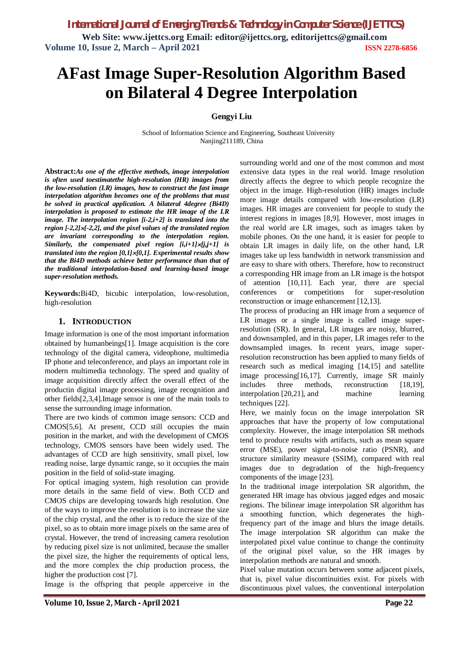# **AFast Image Super-Resolution Algorithm Based on Bilateral 4 Degree Interpolation**

## **Gengyi Liu**

School of Information Science and Engineering, Southeast University Nanjing211189, China

**Abstract:***As one of the effective methods, image interpolation is often used toestimatethe high-resolution (HR) images from the low-resolution (LR) images, how to construct the fast image interpolation algorithm becomes one of the problems that must be solved in practical application. A bilateral 4degree (Bi4D) interpolation is proposed to estimate the HR image of the LR image. The interpolation region [i-2,i+2] is translated into the region [-2,2][-2,2], and the pixel values of the translated region are invariant corresponding to the interpolation region. Similarly, the compensated pixel region [i,i+1][j,j+1] is translated into the region [0,1][0,1]. Experimental results show that the Bi4D methods achieve better performance than that of the traditional interpolation-based and learning-based image super-resolution methods.*

**Keywords:**Bi4D, bicubic interpolation, low-resolution, high-resolution

#### **1. INTRODUCTION**

Image information is one of the most important information obtained by humanbeings[1]. Image acquisition is the core technology of the digital camera, videophone, multimedia IP phone and teleconference, and plays an important role in modern multimedia technology. The speed and quality of image acquisition directly affect the overall effect of the productin digital image processing, image recognition and other fields[2,3,4].Image sensor is one of the main tools to sense the surrounding image information.

There are two kinds of common image sensors: CCD and CMOS[5,6]. At present, CCD still occupies the main position in the market, and with the development of CMOS technology, CMOS sensors have been widely used. The advantages of CCD are high sensitivity, small pixel, low reading noise, large dynamic range, so it occupies the main position in the field of solid-state imaging.

For optical imaging system, high resolution can provide more details in the same field of view. Both CCD and CMOS chips are developing towards high resolution. One of the ways to improve the resolution is to increase the size of the chip crystal, and the other is to reduce the size of the pixel, so as to obtain more image pixels on the same area of crystal. However, the trend of increasing camera resolution by reducing pixel size is not unlimited, because the smaller the pixel size, the higher the requirements of optical lens, and the more complex the chip production process, the higher the production cost [7].

Image is the offspring that people apperceive in the

surrounding world and one of the most common and most extensive data types in the real world. Image resolution directly affects the degree to which people recognize the object in the image. High-resolution (HR) images include more image details compared with low-resolution (LR) images. HR images are convenient for people to study the interest regions in images [8,9]. However, most images in the real world are LR images, such as images taken by mobile phones. On the one hand, it is easier for people to obtain LR images in daily life, on the other hand, LR images take up less bandwidth in network transmission and are easy to share with others. Therefore, how to reconstruct a corresponding HR image from an LR image is the hotspot of attention [10,11]. Each year, there are special conferences or competitions for super-resolution reconstruction or image enhancement [12,13].

The process of producing an HR image from a sequence of LR images or a single image is called image superresolution (SR). In general, LR images are noisy, blurred, and downsampled, and in this paper, LR images refer to the downsampled images. In recent years, image superresolution reconstruction has been applied to many fields of research such as medical imaging [14,15] and satellite image processing[16,17]. Currently, image SR mainly includes three methods, reconstruction [18,19], interpolation [20,21], and machine learning techniques [22].

Here, we mainly focus on the image interpolation SR approaches that have the property of low computational complexity. However, the image interpolation SR methods tend to produce results with artifacts, such as mean square error (MSE), power signal-to-noise ratio (PSNR), and structure similarity measure (SSIM), compared with real images due to degradation of the high-frequency components of the image [23].

In the traditional image interpolation SR algorithm, the generated HR image has obvious jagged edges and mosaic regions. The bilinear image interpolation SR algorithm has a smoothing function, which degenerates the highfrequency part of the image and blurs the image details. The image interpolation SR algorithm can make the interpolated pixel value continue to change the continuity of the original pixel value, so the HR images by interpolation methods are natural and smooth.

Pixel value mutation occurs between some adjacent pixels, that is, pixel value discontinuities exist. For pixels with discontinuous pixel values, the conventional interpolation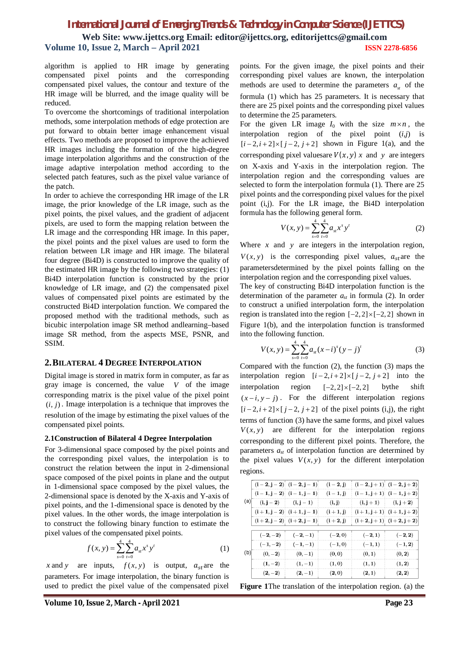algorithm is applied to HR image by generating compensated pixel points and the corresponding compensated pixel values, the contour and texture of the HR image will be blurred, and the image quality will be reduced.

To overcome the shortcomings of traditional interpolation methods, some interpolation methods of edge protection are put forward to obtain better image enhancement visual effects. Two methods are proposed to improve the achieved HR images including the formation of the high-degree image interpolation algorithms and the construction of the image adaptive interpolation method according to the selected patch features, such as the pixel value variance of the patch.

In order to achieve the corresponding HR image of the LR image, the prior knowledge of the LR image, such as the pixel points, the pixel values, and the gradient of adjacent pixels, are used to form the mapping relation between the LR image and the corresponding HR image. In this paper, the pixel points and the pixel values are used to form the relation between LR image and HR image. The bilateral four degree (Bi4D) is constructed to improve the quality of the estimated HR image by the following two strategies: (1) Bi4D interpolation function is constructed by the prior knowledge of LR image, and (2) the compensated pixel values of compensated pixel points are estimated by the constructed Bi4D interpolation function. We compared the proposed method with the traditional methods, such as bicubic interpolation image SR method andlearning–based image SR method, from the aspects MSE, PSNR, and SSIM.

## **2.BILATERAL 4 DEGREE INTERPOLATION**

Digital image is stored in matrix form in computer, as far as gray image is concerned, the value *V* of the image corresponding matrix is the pixel value of the pixel point  $(i, j)$ . Image interpolation is a technique that improves the resolution of the image by estimating the pixel values of the compensated pixel points.

#### **2.1Construction of Bilateral 4 Degree Interpolation**

For 3-dimensional space composed by the pixel points and the corresponding pixel values, the interpolation is to construct the relation between the input in 2-dimensional space composed of the pixel points in plane and the output in 1-dimensional space composed by the pixel values, the 2-dimensional space is denoted by the X-axis and Y-axis of pixel points, and the 1-dimensional space is denoted by the pixel values. In the other words, the image interpolation is to construct the following binary function to estimate the pixel values of the compensated pixel points.

$$
f(x, y) = \sum_{s=0}^{4} \sum_{t=0}^{4} a_{st} x^{s} y^{t}
$$
 (1)

*x* and *y* are inputs,  $f(x, y)$  is output,  $a_{st}$  are the parameters. For image interpolation, the binary function is used to predict the pixel value of the compensated pixel points. For the given image, the pixel points and their corresponding pixel values are known, the interpolation methods are used to determine the parameters  $a_{\sigma}$  of the formula (1) which has 25 parameters. It is necessary that there are 25 pixel points and the corresponding pixel values to determine the 25 parameters.

For the given LR image  $I_0$  with the size  $m \times n$ , the interpolation region of the pixel point (*i*,*j*) is  $[i-2, i+2] \times [j-2, j+2]$  shown in Figure 1(a), and the corresponding pixel values are  $V(x, y)$  *x* and *y* are integers on X-axis and Y-axis in the interpolation region. The interpolation region and the corresponding values are selected to form the interpolation formula (1). There are 25 pixel points and the corresponding pixel values for the pixel point (i,j). For the LR image, the Bi4D interpolation formula has the following general form.

$$
V(x, y) = \sum_{s=0}^{4} \sum_{t=0}^{4} a_{st} x^{s} y^{t}
$$
 (2)

Where  $x$  and  $y$  are integers in the interpolation region,  $V(x, y)$  is the corresponding pixel values,  $a_{st}$  are the parametersdetermined by the pixel points falling on the interpolation region and the corresponding pixel values.

The key of constructing Bi4D interpolation function is the determination of the parameter  $a_{st}$  in formula (2). In order to construct a unified interpolation form, the interpolation region is translated into the region  $[-2, 2] \times [-2, 2]$  shown in Figure 1(b), and the interpolation function is transformed into the following function.

$$
V(x, y) = \sum_{s=0}^{4} \sum_{t=0}^{4} a_{st} (x - i)^{s} (y - j)^{t}
$$
 (3)

Compared with the function (2), the function (3) maps the interpolation region  $[i-2, i+2] \times [j-2, j+2]$  into the interpolation region  $[-2, 2] \times [-2, 2]$  by the shift  $(x-i, y-i)$ . For the different interpolation regions  $[i-2, i+2] \times [j-2, j+2]$  of the pixel points (i,j), the right terms of function (3) have the same forms, and pixel values  $V(x, y)$  are different for the interpolation regions corresponding to the different pixel points. Therefore, the parameters  $a_{st}$  of interpolation function are determined by the pixel values  $V(x, y)$  for the different interpolation regions.

|     |           | $(1-2, j-2)$ $(1-2, j-1)$ | $(i - 2, j)$ |                       | $(i-2, j+1)$ $(i-2, j+2)$ |
|-----|-----------|---------------------------|--------------|-----------------------|---------------------------|
|     |           | $(i-1, j-2)$ $(i-1, j-1)$ | $(1 - 1, j)$ |                       | $(i-1, j+1)$ $(i-1, j+2)$ |
| (a) |           | $(i, j-2)$ $(i, j-1)$     | (i, j)       | $(i, j+1)$ $(i, j+2)$ |                           |
|     |           | $(i+1, j-2)$ $(i+1, j-1)$ | $(1 + 1, j)$ |                       | $(i+1, j+1)$ $(i+1, j+2)$ |
|     |           | $(i+2, j-2)$ $(i+2, j-1)$ | $(1 + 2, j)$ |                       | $(i+2, j+1)$ $(i+2, j+2)$ |
|     | $(-2,-2)$ | $(-2,-1)$                 | $(-2,0)$     | $(-2, 1)$             | $(-2, 2)$                 |
|     | $(-1,-2)$ | $(-1,-1)$                 | $(-1,0)$     | $(-1, 1)$             | $(-1, 2)$                 |
| (b) | $(0,-2)$  | $(0,-1)$                  | (0, 0)       | (0, 1)                | (0, 2)                    |
|     | $(1,-2)$  | $(1,-1)$                  | (1,0)        | (1, 1)                | (1, 2)                    |
|     | $(2,-2)$  | $(2,-1)$                  | (2,0)        | (2, 1)                | (2, 2)                    |

**Figure 1**The translation of the interpolation region. (a) the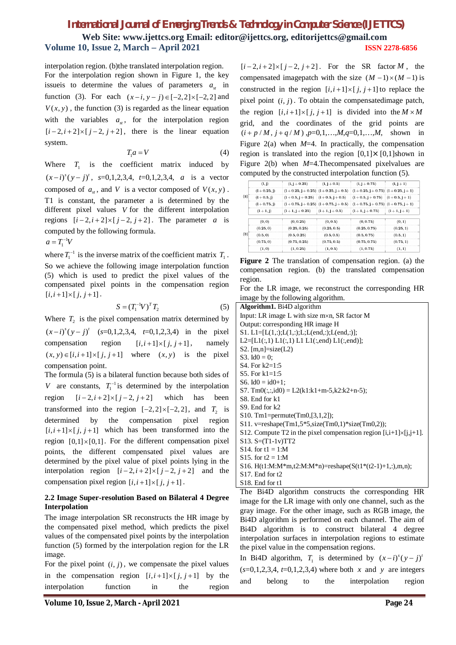interpolation region. (b)the translated interpolation region. For the interpolation region shown in Figure 1, the key issue is to determine the values of parameters  $a_{st}$  in function (3). For each  $(x - i, y - j) \in [-2,2] \times [-2,2]$  and  $V(x, y)$ , the function (3) is regarded as the linear equation with the variables  $a_{\alpha}$ , for the interpolation region  $[i-2, i+2] \times [j-2, j+2]$ , there is the linear equation system.

$$
T_1 a = V \tag{4}
$$

Where  $T_1$  is the coefficient matrix induced by  $(x-i)^s (y-j)^t$ ,  $s=0,1,2,3,4$ ,  $t=0,1,2,3,4$ , *a* is a vector composed of  $a_{st}$ , and *V* is a vector composed of  $V(x, y)$ . T1 is constant, the parameter a is determined by the different pixel values *V* for the different interpolation regions  $[i-2, i+2] \times [j-2, j+2]$ . The parameter *a* is computed by the following formula.

 $a = T_1^{-1}V$ 

where  $T_1^{-1}$  is the inverse matrix of the coefficient matrix  $T_1$ . So we achieve the following image interpolation function (5) which is used to predict the pixel values of the compensated pixel points in the compensation region  $[i, i+1] \times [j, j+1]$ .

$$
S = (T_1^{-1}V)^T T_2
$$
 (5)

Where  $T_2$  is the pixel compensation matrix determined by  $(x-i)^s (y-j)^t$  (s=0,1,2,3,4, t=0,1,2,3,4) in the pixel compensation region  $[i, i+1] \times [j, j+1]$ , namely  $(x, y) \in [i, i+1] \times [j, j+1]$  where  $(x, y)$  is the pixel compensation point.

The formula (5) is a bilateral function because both sides of *V* are constants,  $T_1^{-1}$  is determined by the interpolation region  $[i-2, i+2] \times [j-2, j+2]$  which has been transformed into the region  $[-2, 2] \times [-2, 2]$ , and  $T_2$  is determined by the compensation pixel region  $[i, i+1] \times [j, j+1]$  which has been transformed into the region  $[0,1] \times [0,1]$ . For the different compensation pixel points, the different compensated pixel values are determined by the pixel value of pixel points lying in the interpolation region  $[i-2, i+2] \times [j-2, j+2]$  and the compensation pixel region  $[i, i+1] \times [j, j+1]$ .

#### **2.2 Image Super-resolution Based on Bilateral 4 Degree Interpolation**

The image interpolation SR reconstructs the HR image by the compensated pixel method, which predicts the pixel values of the compensated pixel points by the interpolation function (5) formed by the interpolation region for the LR image.

|               | For the pixel point $(i, j)$ , we compensate the pixel values |          |    |     |        |
|---------------|---------------------------------------------------------------|----------|----|-----|--------|
|               | in the compensation region $[i, i+1] \times [j, j+1]$ by the  |          |    |     |        |
| interpolation |                                                               | function | in | the | region |

 $[i-2, i+2] \times [j-2, j+2]$ . For the SR factor *M*, the compensated imagepatch with the size  $(M - 1) \times (M - 1)$  is constructed in the region  $[i, i+1] \times [j, j+1]$  to replace the pixel point  $(i, j)$ . To obtain the compensatedimage patch, the region  $[i, i+1] \times [j, j+1]$  is divided into the  $M \times M$ grid, and the coordinates of the grid points are  $(i + p/M, j + q/M)$ ,  $p=0,1,...,M$ ,  $q=0,1,...,M$ , shown in Figure  $2(a)$  when  $M=4$ . In practically, the compensation region is translated into the region  $[0,1] \times [0,1]$ shown in Figure 2(b) when *M*=4.Thecompensated pixelvalues are computed by the constructed interpolation function (5).

|     | (i, j)          | $(i, j + 0.25)$                        | $(i, j + 0.5)$ | $(1, j + 0.75)$                    | $(1, j + 1)$     |
|-----|-----------------|----------------------------------------|----------------|------------------------------------|------------------|
| (a) | $(1 + 0.25, i)$ | $(1+0.25, j+0.25)$ $(1+0.25, j+0.5)$   |                | $(i+0.25, j+0.75)$ $(i+0.25, j+1)$ |                  |
|     | $(1+0.5, j)$    | $(1+0.5, j+0.25)$ $(1+0.5, j+0.5)$     |                | $(i+0.5, j+0.75)$ $(i+0.5, j+1)$   |                  |
|     | $(1 + 0.75, i)$ | $(i+0.75, j+0.25)$ : $(i+0.75, j+0.5)$ |                | $(i+0.75, j+0.75)$ $(i+0.75, j+1)$ |                  |
|     | $(1 + 1, j)$    | $(i+1,j+0.25)$                         | $(i+1,j+0.5)$  | $(i+1, j+0.75)$                    | $(i + 1, j + 1)$ |
|     | (0, 0)          | (0, 0.25)                              | (0, 0.5)       | (0, 0.75)                          | (0,1)            |
|     | (0.25, 0)       | (0.25, 0.25)                           | (0.25, 0.5)    | (0.25, 0.75)                       | (0.25, 1)        |
| (b) | (0.5, 0)        | (0.5, 0.25)                            | (0.5, 0.5)     | (0.5, 0.75)                        | (0.5, 1)         |
|     | (0.75, 0)       | (0.75, 0.25)                           | (0.75, 0.5)    | (0.75, 0.75)                       | (0.75, 1)        |
|     | (1,0)           | (1, 0.25)                              | (1, 0.5)       | (1, 0.75)                          | (1,1)            |

**Figure 2** The translation of compensation region. (a) the compensation region. (b) the translated compensation region.

For the LR image, we reconstruct the corresponding HR image by the following algorithm.

| <b>Algorithm1.</b> Bi4D algorithm                                             |
|-------------------------------------------------------------------------------|
| Input: LR image L with size $m \times n$ , SR factor M                        |
| Output: corresponding HR image H                                              |
| S1. L1=[L(1,:);L(1,:);L;L(end,:);L(end,:)];                                   |
| L2=[L1(:,1) L1(:,1) L1 L1(:,end) L1(:,end)];                                  |
| S2. $[m,n]=size(L2)$                                                          |
| S3. Id $0 = 0$ ;                                                              |
| S4. For $k2=1:5$                                                              |
| S5. For $k1 = 1:5$                                                            |
| S6. Id $0 = id0+1$ ;                                                          |
| S7. Tm0(:,:,id0) = L2(k1:k1+m-5,k2:k2+n-5);                                   |
| S8. End for k1                                                                |
| $S9.$ End for $k2$                                                            |
| S10. Tm1=permute(Tm0, [3, 1, 2]);                                             |
| S11. v=reshape(Tm1,5*5,size(Tm0,1)*size(Tm0,2));                              |
| S12. Compute T2 in the pixel compensation region $[i, i+1] \times [i, j+1]$ . |
| $S13. S = (T1-1v)TT2$                                                         |
| S14. for $t1 = 1:M$                                                           |
| S15, for $t2 = 1:M$                                                           |
| S16. H(t1:M:M*m,t2:M:M*n)=reshape(S(t1*(t2-1)+1,:),m,n);                      |
| $S17$ . End for t2                                                            |
| S <sub>18</sub> . End for t <sub>1</sub>                                      |
| The Bi4D algorithm constructs the corresponding<br>HR                         |

The Bi4D algorithm constructs the corresponding HR image for the LR image with only one channel, such as the gray image. For the other image, such as RGB image, the Bi4D algorithm is performed on each channel. The aim of Bi4D algorithm is to construct bilateral 4 degree interpolation surfaces in interpolation regions to estimate the pixel value in the compensation regions.

In Bi4D algorithm,  $T_1$  is determined by  $(x-i)^s (y-j)^t$  $(s=0,1,2,3,4, t=0,1,2,3,4)$  where both *x* and *y* are integers and belong to the interpolation region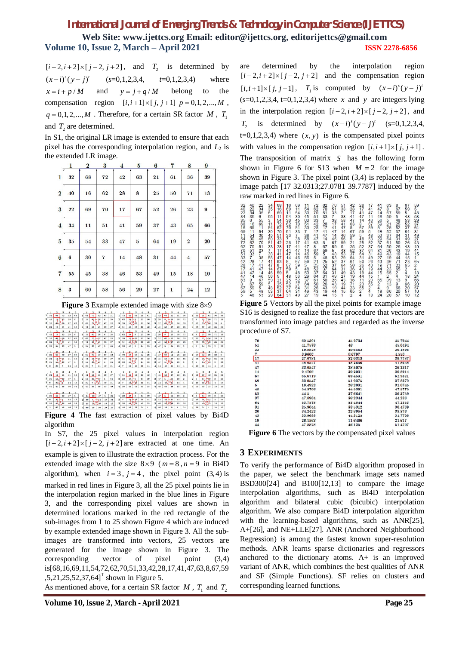| $[i-2, i+2] \times [j-2, j+2]$ , and $T_2$ is determined by         |  |  |  |  |
|---------------------------------------------------------------------|--|--|--|--|
| $(x-i)^{s}(y-i)^{t}$ $(s=0,1,2,3,4, t=0,1,2,3,4)$ where             |  |  |  |  |
| $x = i + p/M$ and $y = j + q/M$ belong to the                       |  |  |  |  |
| compensation region $[i, i+1] \times [j, j+1]$ $p = 0, 1, 2, , M$ , |  |  |  |  |
| $q = 0, 1, 2, , M$ . Therefore, for a certain SR factor M, $T_1$    |  |  |  |  |
| and $T2$ are determined.                                            |  |  |  |  |

In S1, the original LR image is extended to ensure that each pixel has the corresponding interpolation region, and  $L_2$  is the extended LR image.

|                         | 1                | $\overline{\mathbf{2}}$ | 3  | $\overline{\mathbf{4}}$ | 5            | $\bf{6}$ | 7            | 8                       | 9                |
|-------------------------|------------------|-------------------------|----|-------------------------|--------------|----------|--------------|-------------------------|------------------|
| 1                       | 32               | 68                      | 72 | 42                      | 63           | 21       | 61           | 36                      | 39               |
| $\overline{2}$          | 40               | 16                      | 62 | 28                      | 8            | 25       | 50           | 71                      | 13               |
| 3                       | 22               | 69                      | 70 |                         | 67           | 26<br>52 |              | 23                      | $\boldsymbol{9}$ |
| $\overline{\mathbf{4}}$ | 34               | 51<br>11                |    | 41                      | 59<br>37     |          | 43           | 65                      | 66               |
| 5                       | 35               | 54                      | 33 | 47                      | $\mathbf{5}$ | 64       | 19           | $\overline{2}$          | 20               |
| $\boldsymbol{6}$        | $\boldsymbol{6}$ | 30                      | 7  | 14                      | 48           | 31       | 44           | $\overline{\mathbf{4}}$ | 57               |
| $\overline{7}$          | 55               | 45                      | 38 | 46                      | 53           | 49       | 15           | 18                      | 10               |
| 8                       | $\bf{3}$         | 60                      | 58 | 56                      | 29           | 27       | $\mathbf{1}$ | 24                      | 12               |

**Figure 3** Example extended image with size 8×9

|                                      |                         | s                         | 4                    | Þ.             |                |              | z                       | s                         | 4                  | <u>a</u>      |              |                           | 2                | -3                              | 4                   | a.           |                              |                 |                  | з                                        | 4                       | D.                      |                |                  |                         | s                               | 4                       | ₫            |
|--------------------------------------|-------------------------|---------------------------|----------------------|----------------|----------------|--------------|-------------------------|---------------------------|--------------------|---------------|--------------|---------------------------|------------------|---------------------------------|---------------------|--------------|------------------------------|-----------------|------------------|------------------------------------------|-------------------------|-------------------------|----------------|------------------|-------------------------|---------------------------------|-------------------------|--------------|
| 32                                   | 68                      | T2                        | 42                   | 63             | H              | 68           | T2                      | 42                        | 63                 | 21            | п            | 72                        | 42               | 63                              | 21                  | 61           | 1.                           | 42              | 63               | 21                                       | 61                      | 36                      | п              | 63               | 21                      | 61                              | 36                      | 39           |
| $\mathbf{2}$<br>40                   | $14+$                   | 62                        | 28                   | 8              | $\mathbf{z}$   | 16           | $^{7}$                  | 28                        | 8                  | 25            |              | $2 \t62$                  | $28 + 8$         |                                 | 25                  | 50           | $\mathbf{2}$                 | 28              | $\boldsymbol{8}$ | $25 -$                                   | 50                      | 71                      | $\overline{2}$ | $\boldsymbol{8}$ | $2\frac{5}{4}$          | 30                              | 71                      | 13           |
| $\boldsymbol{\mathsf{s}}$<br>$^{22}$ | 69.                     | $x_0$                     | 17                   | 67             | s              | 69           |                         | Åт                        | 67                 | 52            | $\bf{3}$     | 70                        | ix*              | - 57                            | 52                  | 26           | $\bf{3}$                     | $17\,$          |                  | $_{62}$ 16) <sub>2</sub>                 | 26                      | 23                      |                | 67               | 52 <sup>6</sup>         | 286                             | 23                      | $\mathbf{9}$ |
| 4 34                                 | 11                      | 51                        | 41                   | 59             | 4              | 11           | 51                      | 41                        | 59                 | 37            |              | 4 51                      | 41               | 59                              | 37                  | 43           | $\vert$                      | 41              | 59               | 37                                       | 43                      | 65                      |                | 59               | 37                      | 43                              | 65                      | 66           |
|                                      |                         | 3                         | $\overline{4}$       | 5              |                | $\mathbf{1}$ | $\overline{\mathbf{2}}$ | 3                         | 4                  | $\frac{5}{2}$ |              | 1                         | $\overline{2}$   | 3                               | $\overline{4}$      | 5.           |                              | 1               | $\overline{2}$   | 3                                        | 4                       | 5                       |                | п                | $\overline{\mathbf{2}}$ | 3                               | $\overline{4}$          | õ            |
| 40                                   | 16                      | 62                        | 28                   | $\mathbf{8}$   | $\mathbf{I}$   | 16           | 62                      | 28                        | $\mathbf{\hat{R}}$ | 25            | $\mathbf{1}$ | 62                        | $\overline{28}$  | $\mathbf{R}$                    | 25                  | 50           | $\mathbf{1}$                 | 28              | 8                | 25                                       | 50                      | 71                      | 11             | $\boldsymbol{8}$ | $\overline{25}$         | 50                              | 71                      | 13           |
| $\bf{2}$<br>$\bf{22}$                | $^{69}$                 | $-70$                     | 17                   | 67             | $\overline{2}$ | 69           |                         | つない                       | 67                 | 52            |              | 270                       | 17.              | $-67$                           | 52                  | 26           | $\mathbf{2}$                 | $17\,$          | 67.4             | $-52$                                    | 26                      | 23                      | $\mathbf{2}$   | 67               |                         |                                 | 23                      | 9            |
| 34<br>3 <sup>1</sup>                 | n <sup>2</sup>          | Ы                         | 41                   | 59             | $\mathbf{3}$   | 11           | 5Å                      | $\frac{1}{41}$            | 59                 | 37            | $\bf{3}$     | 51                        | 412 <sub>0</sub> |                                 | 37                  | 43           | $\bf{3}$                     | $41$            |                  | 5(17)                                    | 43                      | 65                      |                | 59               |                         | $\frac{52}{37}$ $\frac{28}{22}$ | 65                      | 66           |
| 4 35                                 | 54                      | 33                        | 47                   | $\overline{6}$ | 4              | 54           | 33                      | 47                        | 5                  | 64            |              | 4 33                      | 47               | $\overline{6}$                  | 64                  | 19           | 4 <sup>1</sup>               | 47              | 5                | 64                                       | 19                      | $\overline{\mathbf{2}}$ | $\overline{4}$ | $\overline{5}$   | 64                      | 19                              | $\overline{\mathbf{2}}$ | 20           |
|                                      |                         |                           |                      |                |                |              |                         |                           |                    |               |              |                           |                  |                                 |                     |              |                              |                 |                  |                                          |                         |                         |                |                  |                         |                                 |                         |              |
|                                      | $\overline{\mathbf{2}}$ | $\boldsymbol{\mathsf{s}}$ | 4                    | 5              |                |              | $\mathbf{2}$            | $\bf{3}$                  | $\boldsymbol{4}$   | 5             |              | 1                         | $\overline{2}$   | $\bf{3}$                        | $\overline{\bf{4}}$ | 5            |                              |                 | $\overline{2}$   | $\bf{3}$                                 | $\overline{4}$          | 5                       |                |                  | $\overline{2}$          | з                               | $\blacktriangleleft$    | 5            |
| 22                                   | 69                      | 70                        | 17                   | 67             | $\mathbf{1}$   | 69           | 70                      | 17                        | 67                 | 52            | $\mathbf{1}$ | 70                        | $\overline{17}$  | 67                              | 52                  | 26           | $\mathbf{1}$                 | 17              | 67               | 52                                       | 26                      | 23                      | 11             | 67               | $\overline{52}$         | 26                              | 23                      | 9            |
| $\bf{2}$<br>34                       |                         | 抄言社                       | 41                   | 59             |                | $2 \quad 11$ |                         | 詩                         | 59                 | 37            |              | $2 \quad 51$              |                  | 拇                               | 37                  | 43           | $\overline{2}$               | 41              |                  | $^{59}$ $\left\{ \frac{37}{18} \right\}$ | 43                      | 65                      | $\mathbf{2}$   | 59               |                         | $37 - 13$                       | 65                      | 66           |
| $\mathbf{3}$<br>35                   | 54                      | B),                       | 47                   | 5              | 3              | 54           |                         |                           | 5                  | 64            |              | $3 - 33$                  |                  |                                 | 64                  | 19           | $\mathbf{a}$                 | 47 <sup>1</sup> |                  |                                          | 19                      | $\overline{\mathbf{2}}$ |                | 5                | 6A <sup>+</sup>         | 3),                             | $\overline{\mathbf{2}}$ | 20           |
| 46                                   | 30                      | $\overline{7}$            | 14                   | 48             |                | 430          | τ.                      | 14                        | 48                 | 31            | 47           |                           | 14               | 48                              | 31                  | 44           | $\vert$                      | 14              | 48               | 31                                       | 44                      | 4                       |                | 48               | 31                      | 44                              | $\overline{4}$          | 57           |
|                                      |                         |                           |                      |                |                |              |                         |                           |                    |               |              |                           |                  |                                 |                     |              |                              |                 |                  |                                          |                         |                         |                |                  |                         |                                 |                         |              |
|                                      | $\mathbf{r}$            | 3                         | $\blacktriangleleft$ | 5.             |                | п.           |                         | $\boldsymbol{\mathsf{a}}$ | $\boldsymbol{A}$   | $\sim$        |              |                           | $\overline{2}$   | 3                               | $\boldsymbol{A}$    | 5.           |                              |                 | $\mathbf{2}$     | з                                        | $\boldsymbol{A}$        | 5                       |                |                  |                         | 3                               | $\cdot$                 | -5           |
| $1 \overline{34}$                    | 11                      | 51                        | 41                   | 59             | $\mathbf{1}$   | 11           | 51                      | 41                        | 59                 | 37            |              | $1 \t 51$                 | 41               | 59                              | 37                  | 43           | $\mathbf{1}$                 | 41              | 59               | 37                                       | 43                      | 65                      | 11             | 59               | 37                      | 43                              | 65                      | 66           |
| $\mathbf{2}$<br>35                   | 54,                     | $\frac{1}{4}$             | 47                   | 5              | $\overline{2}$ | 54           |                         | $\frac{33}{7}$ 9          | 5                  | 64            |              | $2 \overline{33}$         | 47.              | $\rightarrow$                   | 64                  | 19           | $\mathbf{2}$                 | 47              | $5 -$            | $-64$                                    | 19                      | $\overline{a}$          | $\mathbf{2}$   | $\sqrt{5}$       | 64.                     | $\rightarrow 9$                 | $\mathbf{2}$            | 20           |
| $\overline{6}$<br>$\mathbf{3}$       | 30 <sub>1</sub>         |                           | 14                   | 48             | 3              | 30           |                         |                           | 48                 | 31            | 37           |                           | 14.14            |                                 | 31                  | 44           | $\vert$ <sub>3</sub> $\vert$ | 14              |                  | 48, 19                                   | 44                      | $\overline{4}$          | 3l             | 48               | 31 <sup>2</sup>         | $\mathbb{R}$                    | $\mathbf{4}$            | 57           |
| 4 55                                 | 45                      | 38                        | 46                   | 53             | 4              | 45           | 38                      | 46                        | 53                 | 49            |              | $4 \overline{\smash{38}}$ | 46               | 53                              | 49                  | 15           | 4 <sup>1</sup>               | 46              | 53               | 49                                       | 15                      | 18                      | $\frac{1}{2}$  | 53               | 49                      | 15                              | 18                      | 10           |
|                                      |                         |                           |                      |                |                |              |                         |                           |                    |               |              |                           |                  |                                 |                     |              |                              |                 |                  |                                          |                         |                         |                |                  |                         |                                 |                         |              |
|                                      |                         | -3                        | 4                    | 5              |                | $\mathbf{1}$ | $\overline{2}$          | $\mathbf{3}$              | $\overline{4}$     | 5             |              |                           | $2 \quad 3$      |                                 | $\boldsymbol{A}$    | 5            |                              |                 | $\mathbf{2}$     | 3                                        | $\mathbf{4}$            | 5                       |                |                  | $\overline{2}$          | 3                               | $\boldsymbol{A}$        | 5            |
| 1 35                                 | 54                      | 33                        | 47                   | 5              |                | 54           | 33                      | 47                        | к                  | 64            |              | 133                       | 47               | 5                               | 64                  | 19           | $\mathbf{I}$                 | 47              | 5                | 64                                       | 19                      | $\overline{a}$          | 11             | $5\,$            | 64                      | 19                              | $\overline{a}$          | 20           |
| $\mathbf{2}$<br>$\mathbf{6}$         | $\frac{30}{45}$         |                           | 14                   | 48             | $\mathbf{2}$   | 30           |                         | $\frac{1}{28}$            | 48                 | 31            | 27           |                           |                  | $\frac{14}{46}$ $\frac{14}{15}$ | 31                  | 44           | $\bf{2}$                     | 14              | 48               | $-31$                                    | 44                      | $\frac{4}{3}$           | $\overline{2}$ | 48               | $\rightarrow$           | $-44$                           | $\overline{4}$          | 57           |
| 55<br>$\bf{3}$                       |                         | Б<br><b>J</b> s           | 46                   | 53             | $\mathbf{a}$   | 45           |                         |                           | 53                 | 49            | $\bf{3}$     | 38                        |                  |                                 | 49                  | 15           | $\bf{a}$                     | 46              |                  | 53, 20, 9                                | 15                      | 18                      | 3              | 53               |                         | $43 - 35$                       | 18                      | 10           |
| 43                                   | 60                      | 58                        | 56                   | 29             |                | 60           | 58                      | 56                        | 29                 | 27            | 41           | 58                        | 56               | 29                              | 27                  | $\mathbf{1}$ | 4                            | 56              | 29               | 27                                       | $\overline{\mathbf{1}}$ | 24                      |                | 29               | 27                      | $\mathbf{1}$                    | $^{24}$                 | 12           |
|                                      |                         |                           |                      |                |                |              |                         |                           |                    |               |              |                           |                  |                                 |                     |              |                              |                 |                  |                                          |                         |                         |                |                  |                         |                                 |                         |              |

**Figure 4** The fast extraction of pixel values by Bi4D algorithm

In S7, the 25 pixel values in interpolation region  $[i-2, i+2] \times [j-2, j+2]$  are extracted at one time. An example is given to illustrate the extraction process. For the extended image with the size  $8 \times 9$  ( $m = 8, n = 9$  in Bi4D) algorithm), when  $i = 3$ ,  $j = 4$ , the pixel point (3,4) is marked in red lines in Figure 3, all the 25 pixel points lie in the interpolation region marked in the blue lines in Figure 3, and the corresponding pixel values are shown in determined locations marked in the red rectangle of the sub-images from 1 to 25 shown Figure 4 which are induced by example extended image shown in Figure 3. All the subimages are transformed into vectors, 25 vectors are generated for the image shown in Figure 3. The corresponding vector of pixel point (3,4) is[68,16,69,11,54,72,62,70,51,33,42,28,17,41,47,63,8,67,59  $, 5, 21, 25, 52, 37, 64$ <sup>T</sup> shown in Figure 5.

As mentioned above, for a certain SR factor  $M$ ,  $T_1$  and  $T_2$ 

are determined by the interpolation region  $[i-2, i+2] \times [j-2, j+2]$  and the compensation region  $[i, i+1] \times [j, j+1]$ ,  $T_1$  is computed by  $(x-i)^s (y-j)^t$  $(s=0,1,2,3,4, t=0,1,2,3,4)$  where *x* and *y* are integers lying in the interpolation region  $[i-2, i+2] \times [j-2, j+2]$ , and  $T<sub>2</sub>$ is determined by  $(x-i)^s (y-j)^t$  (s=0,1,2,3,4,  $t=0,1,2,3,4$ ) where  $(x, y)$  is the compensated pixel points with values in the compensation region  $[i, i+1] \times [j, j+1]$ . The transposition of matrix *S* has the following form shown in Figure 6 for S13 when  $M = 2$  for the image shown in Figure 3. The pixel point (3,4) is replaced by the image patch [17 32.0313;27.0781 39.7787] induced by the raw marked in red lines in Figure 6.

| 32<br>22<br>40<br>22<br>34<br>40<br>35<br>$^{22}$<br>34<br>34<br>35<br>6<br>35<br>55<br>6<br>68<br>69<br>16<br>16<br>11<br>69<br>69<br>54<br>11<br>11<br>54<br>30<br>54<br>30<br>45<br>72<br>70<br>62<br>62<br>70<br>51<br>70<br>33<br>51<br>51<br>$\overline{7}$<br>33<br>33<br>$\overline{7}$<br>38<br>17<br>42<br>28<br>28<br>17<br>41<br>17<br>47<br>41<br>41<br>47<br>14<br>47<br>46<br>14<br>67<br>63<br>8<br>67<br>59<br>8<br>67<br>59<br>5<br>59<br>5<br>48<br>5<br>53<br>48 |
|--------------------------------------------------------------------------------------------------------------------------------------------------------------------------------------------------------------------------------------------------------------------------------------------------------------------------------------------------------------------------------------------------------------------------------------------------------------------------------------|
| 34<br>68<br>35<br>16<br>6<br>69<br>55<br>11<br>3<br>54<br>72<br>11<br>54<br>62<br>30<br>70<br>51<br>45<br>33<br>60<br>51<br>42<br>33<br>28<br>7<br>17<br>38<br>41<br>58<br>47<br>63<br>41<br>47<br>8<br>67<br>14<br>59<br>46<br>5<br>56<br>59<br>21<br>5<br>25<br>52<br>48<br>53<br>37<br>64<br>29                                                                                                                                                                                   |
| 16<br>69<br>69<br>11<br>54<br>11<br>54<br>30<br>45<br>30<br>62<br>70<br>70<br>51<br>51<br>33<br>33<br>7<br>7<br>38<br>28<br>17<br>17<br>41<br>47<br>41<br>47<br>14<br>46<br>14<br>67<br>8<br>67<br>59<br>59<br>5<br>5<br>48<br>48<br>53<br>25<br>52<br>52<br>37<br>37<br>64<br>64<br>31<br>31<br>49                                                                                                                                                                                  |
| 11<br>54<br>30<br>45<br>60<br>51<br>33<br>7<br>38<br>58<br>41<br>47<br>14<br>46<br>56<br>59<br>5<br>48<br>53<br>29<br>37<br>64<br>31<br>49<br>27                                                                                                                                                                                                                                                                                                                                     |
| 72<br>62<br>70<br>62<br>51<br>70<br>51<br>33<br>$\overline{7}$<br>33<br>42<br>28<br>28<br>17<br>17<br>41<br>47<br>41<br>47<br>14<br>63<br>8<br>67<br>8<br>67<br>59<br>5<br>59<br>5<br>48<br>25<br>21<br>25<br>52<br>52<br>37<br>37<br>64<br>31<br>64<br>61<br>50<br>50<br>26<br>26<br>43<br>43<br>19<br>19<br>44                                                                                                                                                                     |
| 70<br>51<br>33<br>$\overline{7}$<br>38<br>17<br>41<br>47<br>14<br>46<br>67<br>59<br>5<br>48<br>53<br>52<br>37<br>64<br>31<br>49<br>26<br>43<br>19<br>44<br>15                                                                                                                                                                                                                                                                                                                        |
| 51<br>33<br>$\overline{7}$<br>38<br>58<br>41<br>47<br>14<br>46<br>56<br>59<br>5<br>48<br>53<br>29<br>37<br>64<br>31<br>49<br>27<br>43<br>19<br>44<br>15                                                                                                                                                                                                                                                                                                                              |
| 42<br>28<br>17<br>41<br>47<br>63<br>8<br>67<br>59<br>5<br>21<br>25<br>52<br>37<br>64<br>61<br>50<br>26<br>43<br>19<br>36<br>71<br>23<br>65<br>2                                                                                                                                                                                                                                                                                                                                      |
| 28<br>17<br>41<br>47<br>14<br>8<br>67<br>59<br>5<br>48<br>25<br>52<br>37<br>64<br>31<br>50<br>26<br>43<br>19<br>44<br>71<br>23<br>65<br>$\overline{2}$<br>$\overline{4}$                                                                                                                                                                                                                                                                                                             |
| 17<br>41<br>47<br>14<br>46<br>67<br>59<br>5<br>48<br>53<br>52<br>37<br>64<br>31<br>49<br>26<br>43<br>19<br>44<br>15<br>23<br>65<br>$\overline{2}$<br>4<br>18                                                                                                                                                                                                                                                                                                                         |
| 41<br>47<br>14<br>46<br>56<br>59<br>5<br>48<br>53<br>29<br>37<br>64<br>31<br>49<br>27<br>43<br>19<br>44<br>15<br>1<br>65<br>$\overline{2}$<br>4<br>18<br>24                                                                                                                                                                                                                                                                                                                          |
| 63<br>8<br>67<br>59<br>5<br>21<br>25<br>52<br>37<br>64<br>61<br>50<br>26<br>43<br>19<br>36<br>71<br>23<br>65<br>$\overline{2}$<br>39<br>13<br>9<br>66<br>20                                                                                                                                                                                                                                                                                                                          |
| 8<br>67<br>59<br>5<br>48<br>25<br>52<br>37<br>64<br>31<br>50<br>26<br>43<br>19<br>44<br>71<br>23<br>65<br>$\frac{2}{4}$<br>13<br>9<br>66<br>20<br>57                                                                                                                                                                                                                                                                                                                                 |
| 67<br>59<br>5<br>48<br>53<br>52<br>37<br>64<br>31<br>49<br>26<br>43<br>19<br>44<br>15<br>23<br>65<br>$\overline{c}$<br>4<br>18<br>9<br>66<br>20<br>57<br>10                                                                                                                                                                                                                                                                                                                          |
| 59<br>5<br>48<br>53<br>29<br>37<br>64<br>31<br>49<br>27<br>43<br>19<br>44<br>15<br>65<br>2<br>$\overline{4}$<br>18<br>24<br>66<br>20<br>57<br>10<br>12                                                                                                                                                                                                                                                                                                                               |
|                                                                                                                                                                                                                                                                                                                                                                                                                                                                                      |

**Figure 5** Vectors by all the pixel points for example image S16 is designed to realize the fast procedure that vectors are transformed into image patches and regarded as the inverse procedure of S7.

| 70 | 62.5391 | 45.2734 | 45.7944  |
|----|---------|---------|----------|
| 51 | 41.7578 | 46      | 45.0494  |
| 33 | 19.8828 | 40.6563 | 26.1896  |
| 7  | 3.9688  | 8.6797  | 4.558    |
| 17 | 27.0781 | 320313  | 39,7787  |
| 41 | 48.0547 | 48.2656 | 41.8658  |
| 47 | 33 0547 | 285078  | 26 23 17 |
| 14 | 94766   | 30 2031 | 30.8914  |
| 67 | 65.6719 | 69.4531 | 62.9321  |
| 59 | 33 0547 | 519375  | 378372   |
| 5  | 16 4922 | 26 2031 | 31 0745  |
| 48 | 54.9766 | 44.5391 | 47.5775  |
| 52 | 44.5    | 37.6641 | 363759   |
| 37 | 47.8984 | 36.2344 | 44.236   |
| 64 | 53.7578 | 53.4844 | 47.2353  |
| 31 | 25.9844 | 33.5312 | 30 4769  |
| 26 | 34.2422 | 22.8984 | 33.376   |
| 43 | 33.9688 | 44.3125 | 31.7708  |
| 19 | 26.1563 | 11.6406 | 21.617   |
| 44 | 47.8828 | 46.125  | 51.4707  |

**Figure 6** The vectors by the compensated pixel values

## **3 EXPERIMENTS**

To verify the performance of Bi4D algorithm proposed in the paper, we select the benchmark image sets named BSD300[24] and B100[12,13] to compare the image interpolation algorithms, such as Bi4D interpolation algorithm and bilateral cubic (bicubic) interpolation algorithm. We also compare Bi4D interpolation algorithm with the learning-based algorithms, such as ANR[25], A+[26], and NE+LLE[27]. ANR (Anchored Neighborhood Regression) is among the fastest known super-resolution methods. ANR learns sparse dictionaries and regressors anchored to the dictionary atoms. A+ is an improved variant of ANR, which combines the best qualities of ANR and SF (Simple Functions). SF relies on clusters and corresponding learned functions.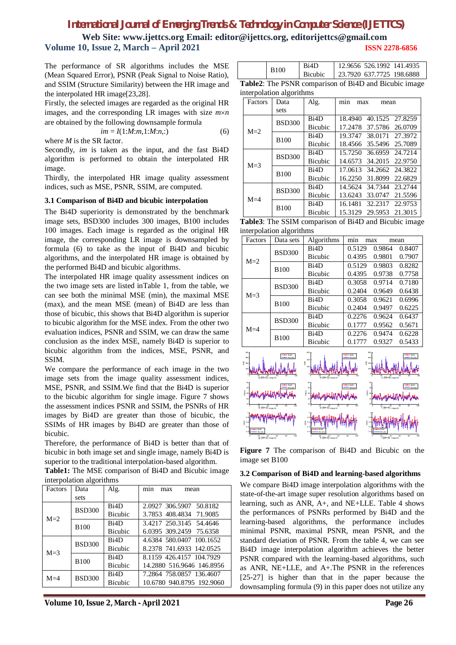## *International Journal of Emerging Trends & Technology in Computer Science (IJETTCS)*

**Web Site: www.ijettcs.org Email: editor@ijettcs.org, editorijettcs@gmail.com Volume 10, Issue 2, March – April 2021 ISSN 2278-6856**

The performance of SR algorithms includes the MSE (Mean Squared Error), PSNR (Peak Signal to Noise Ratio), and SSIM (Structure Similarity) between the HR image and the interpolated HR image[23,28].

Firstly, the selected images are regarded as the original HR images, and the corresponding LR images with size  $m \times n$ are obtained by the following downsample formula

$$
im = I(1:M:m,1:M:n,:)
$$
 (6)

where *M* is the SR factor.

Secondly, *im* is taken as the input, and the fast Bi4D algorithm is performed to obtain the interpolated HR image.

Thirdly, the interpolated HR image quality assessment indices, such as MSE, PSNR, SSIM, are computed.

#### **3.1 Comparison of Bi4D and bicubic interpolation**

The Bi4D superiority is demonstrated by the benchmark image sets, BSD300 includes 300 images, B100 includes 100 images. Each image is regarded as the original HR image, the corresponding LR image is downsampled by formula (6) to take as the input of Bi4D and bicubic algorithms, and the interpolated HR image is obtained by the performed Bi4D and bicubic algorithms.

The interpolated HR image quality assessment indices on the two image sets are listed inTable 1, from the table, we can see both the minimal MSE (min), the maximal MSE (max), and the mean MSE (mean) of Bi4D are less than those of bicubic, this shows that Bi4D algorithm is superior to bicubic algorithm for the MSE index. From the other two evaluation indices, PSNR and SSIM, we can draw the same conclusion as the index MSE, namely Bi4D is superior to bicubic algorithm from the indices, MSE, PSNR, and SSIM.

We compare the performance of each image in the two image sets from the image quality assessment indices, MSE, PSNR, and SSIM.We find that the Bi4D is superior to the bicubic algorithm for single image. Figure 7 shows the assessment indices PSNR and SSIM, the PSNRs of HR images by Bi4D are greater than those of bicubic, the SSIMs of HR images by Bi4D are greater than those of bicubic.

Therefore, the performance of Bi4D is better than that of bicubic in both image set and single image, namely Bi4D is superior to the traditional interpolation-based algorithm.

**Table1:** The MSE comparison of Bi4D and Bicubic image interpolation algorithms

| Factors | Data          | Alg.              | min<br>max<br>mean        |
|---------|---------------|-------------------|---------------------------|
|         | sets          |                   |                           |
|         | <b>BSD300</b> | B <sub>i</sub> 4D | 2.0927 306.5907 50.8182   |
| $M=2$   |               | <b>Bicubic</b>    | 3.7853 408.4834 71.9085   |
|         | <b>B100</b>   | Bi4D              | 3.4217 250.3145 54.4646   |
|         |               | <b>Bicubic</b>    | 6.0395 309.2459 75.6358   |
|         | <b>BSD300</b> | Bi <sub>4</sub> D | 4.6384 580.0407 100.1652  |
| $M = 3$ |               | <b>Bicubic</b>    | 8.2378 741.6933 142.0525  |
|         | <b>B100</b>   | Bi4D              | 8.1159 426.4157 104.7929  |
|         |               | <b>Bicubic</b>    | 14.2880 516.9646 146.8956 |
| $M=4$   | <b>BSD300</b> | Bi <sub>4</sub> D | 7.2864 758.0857 136.4607  |
|         |               | <b>Bicubic</b>    | 10.6780 940.8795 192.9060 |

**Volume 10, Issue 2, March - April 2021 Page 26**

| <b>B100</b> | Ri4D<br><b>Bicubic</b> | 12.9656 526.1992 141.4935<br>  23.7920 637.7725 198.6888 |
|-------------|------------------------|----------------------------------------------------------|
|             |                        |                                                          |

**Table2**: The PSNR comparison of Bi4D and Bicubic image interpolation algorithms

| Factors | Data          | Alg.              | min<br>max<br>mean             |
|---------|---------------|-------------------|--------------------------------|
|         | sets          |                   |                                |
|         | <b>BSD300</b> | Bi <sub>4</sub> D | 40.1525 27.8259<br>18.4940     |
| $M=2$   |               | <b>Bicubic</b>    | 37.5786 26.0709<br>17.2478     |
|         | <b>B100</b>   | Bi <sub>4</sub> D | 19.3747<br>38.0171<br>27.3972  |
|         |               | <b>Bicubic</b>    | 35.5496 25.7089<br>18.4566     |
|         | <b>BSD300</b> | Bi <sub>4</sub> D | 15.7250<br>36.6959<br>24.72.14 |
| $M = 3$ |               | <b>Bicubic</b>    | 34.2015<br>14.6573<br>22.9750  |
|         | <b>B100</b>   | Bi <sub>4</sub> D | 17.0613<br>34.2662 24.3822     |
|         |               | <b>Bicubic</b>    | 16.2250<br>31.8099<br>22.6829  |
|         | <b>BSD300</b> | Bi <sub>4</sub> D | 34.7344<br>14.5624<br>23.2744  |
| $M = 4$ |               | <b>Bicubic</b>    | 13.6243<br>33,0747<br>21.5596  |
|         | <b>B100</b>   | Bi <sub>4</sub> D | 16.1481 32.2317<br>22.9753     |
|         |               | <b>Bicubic</b>    | 15.3129<br>29.5953<br>21.3015  |

| Table3: The SSIM comparison of Bi4D and Bicubic image |  |  |
|-------------------------------------------------------|--|--|
| interpolation algorithms                              |  |  |

| Factors | Data sets     | Algorithms        | min<br>max |        | mean   |
|---------|---------------|-------------------|------------|--------|--------|
| $M=2$   | <b>BSD300</b> | B <sub>i</sub> 4D | 0.5129     | 0.9864 | 0.8407 |
|         |               | <b>Bicubic</b>    | 0.4395     | 0.9801 | 0.7907 |
|         | <b>B100</b>   | Bi <sub>4</sub> D | 0.5129     | 0.9803 | 0.8282 |
|         |               | <b>Bicubic</b>    | 0.4395     | 0.9738 | 0.7758 |
| $M = 3$ | <b>BSD300</b> | Bi <sub>4</sub> D | 0.3058     | 0.9714 | 0.7180 |
|         |               | <b>Bicubic</b>    | 0.2404     | 0.9649 | 0.6438 |
|         | <b>B100</b>   | Bi4D              | 0.3058     | 0.9621 | 0.6996 |
|         |               | <b>Bicubic</b>    | 0.2404     | 0.9497 | 0.6225 |
| $M = 4$ | <b>BSD300</b> | Bi <sub>4</sub> D | 0.2276     | 0.9624 | 0.6437 |
|         |               | <b>Bicubic</b>    | 0.1777     | 0.9562 | 0.5671 |
|         | <b>B100</b>   | Bi <sub>4</sub> D | 0.2276     | 0.9474 | 0.6228 |
|         |               | <b>Bicubic</b>    | 0.1777     | 0.9327 | 0.5433 |



**Figure 7** The comparison of Bi4D and Bicubic on the image set B100

## **3.2 Comparison of Bi4D and learning-based algorithms**

We compare Bi4D image interpolation algorithms with the state-of-the-art image super resolution algorithms based on learning, such as ANR, A+, and NE+LLE. Table 4 shows the performances of PSNRs performed by Bi4D and the learning-based algorithms, the performance includes minimal PSNR, maximal PSNR, mean PSNR, and the standard deviation of PSNR. From the table 4, we can see Bi4D image interpolation algorithm achieves the better PSNR compared with the learning-based algorithms, such as ANR, NE+LLE, and A+.The PSNR in the references [25-27] is higher than that in the paper because the downsampling formula (9) in this paper does not utilize any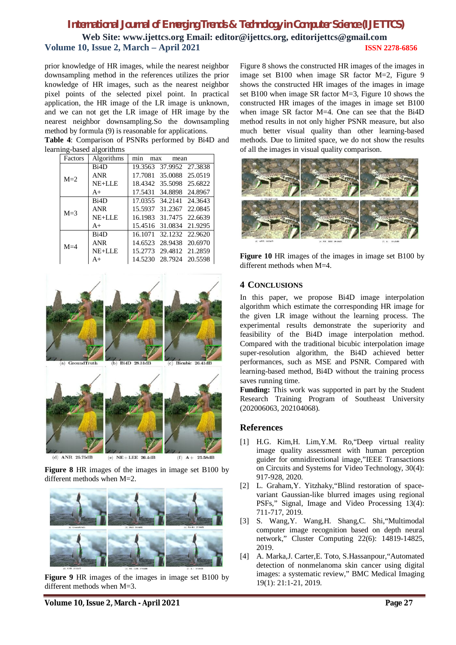prior knowledge of HR images, while the nearest neighbor downsampling method in the references utilizes the prior knowledge of HR images, such as the nearest neighbor pixel points of the selected pixel point. In practical application, the HR image of the LR image is unknown, and we can not get the LR image of HR image by the nearest neighbor downsampling.So the downsampling method by formula (9) is reasonable for applications.

**Table 4**: Comparison of PSNRs performed by Bi4D and learning-based algorithms

| Factors | Algorithms        | min<br>max | mean                    |  |
|---------|-------------------|------------|-------------------------|--|
| $M=2$   | Bi4D              |            | 19.3563 37.9952 27.3838 |  |
|         | ANR               |            | 17.7081 35.0088 25.0519 |  |
|         | NE+LLE            |            | 18.4342 35.5098 25.6822 |  |
|         | $A+$              |            | 17.5431 34.8898 24.8967 |  |
| $M = 3$ | Bi <sub>4</sub> D |            | 17.0355 34.2141 24.3643 |  |
|         | <b>ANR</b>        |            | 15.5937 31.2367 22.0845 |  |
|         | NE+LLE            |            | 16.1983 31.7475 22.6639 |  |
|         | $A+$              |            | 15.4516 31.0834 21.9295 |  |
| $M=4$   | Bi <sub>4</sub> D |            | 16.1071 32.1232 22.9620 |  |
|         | ANR               |            | 14.6523 28.9438 20.6970 |  |
|         | NE+LLE            |            | 15.2773 29.4812 21.2859 |  |
|         | A+                |            | 14.5230 28.7924 20.5598 |  |



**Figure 8** HR images of the images in image set B100 by different methods when M=2.



**Figure 9** HR images of the images in image set B100 by different methods when M=3.

Figure 8 shows the constructed HR images of the images in image set B100 when image SR factor M=2, Figure 9 shows the constructed HR images of the images in image set B100 when image SR factor M=3, Figure 10 shows the constructed HR images of the images in image set B100 when image SR factor M=4. One can see that the Bi4D method results in not only higher PSNR measure, but also much better visual quality than other learning-based methods. Due to limited space, we do not show the results of all the images in visual quality comparison.



Figure 10 HR images of the images in image set B100 by different methods when M=4.

## **4 CONCLUSIONS**

In this paper, we propose Bi4D image interpolation algorithm which estimate the corresponding HR image for the given LR image without the learning process. The experimental results demonstrate the superiority and feasibility of the Bi4D image interpolation method. Compared with the traditional bicubic interpolation image super-resolution algorithm, the Bi4D achieved better performances, such as MSE and PSNR. Compared with learning-based method, Bi4D without the training process saves running time.

**Funding:** This work was supported in part by the Student Research Training Program of Southeast University (202006063, 202104068).

## **References**

- [1] H.G. Kim,H. Lim,Y.M. Ro,"Deep virtual reality image quality assessment with human perception guider for omnidirectional image,"IEEE Transactions on Circuits and Systems for Video Technology, 30(4): 917-928, 2020.
- [2] L. Graham,Y. Yitzhaky,"Blind restoration of spacevariant Gaussian-like blurred images using regional PSFs," Signal, Image and Video Processing 13(4): 711-717, 2019.
- [3] S. Wang,Y. Wang,H. Shang,C. Shi,"Multimodal computer image recognition based on depth neural network," Cluster Computing 22(6): 14819-14825, 2019.
- [4] A. Marka,J. Carter,E. Toto, S.Hassanpour,"Automated detection of nonmelanoma skin cancer using digital images: a systematic review," BMC Medical Imaging 19(1): 21:1-21, 2019.